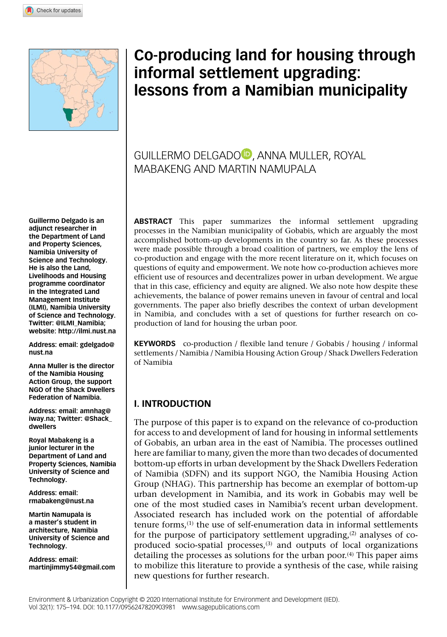**90[3981](http://crossmark.crossref.org/dialog/?doi=10.1177%2F0956247820903981&domain=pdf&date_stamp=2020-03-14)**EAU ENVIRONMENT & URBANIZATION



# **Co-producing land for housing through informal settlement upgrading: lessons from a Namibian municipality**

# GUILLERMO DELGADO<sup>D</sup>, ANNA MULLER, ROYAL Mabakeng and Martin Namupala

**Abstract** This paper summarizes the informal settlement upgrading processes in the Namibian municipality of Gobabis, which are arguably the most accomplished bottom-up developments in the country so far. As these processes were made possible through a broad coalition of partners, we employ the lens of co-production and engage with the more recent literature on it, which focuses on questions of equity and empowerment. We note how co-production achieves more efficient use of resources and decentralizes power in urban development. We argue that in this case, efficiency and equity are aligned. We also note how despite these achievements, the balance of power remains uneven in favour of central and local governments. The paper also briefly describes the context of urban development in Namibia, and concludes with a set of questions for further research on coproduction of land for housing the urban poor.

**Keywords** co-production / flexible land tenure / Gobabis / housing / informal settlements / Namibia / Namibia Housing Action Group / Shack Dwellers Federation of Namibia

# **I. Introduction**

The purpose of this paper is to expand on the relevance of co-production for access to and development of land for housing in informal settlements of Gobabis, an urban area in the east of Namibia. The processes outlined here are familiar to many, given the more than two decades of documented bottom-up efforts in urban development by the Shack Dwellers Federation of Namibia (SDFN) and its support NGO, the Namibia Housing Action Group (NHAG). This partnership has become an exemplar of bottom-up urban development in Namibia, and its work in Gobabis may well be one of the most studied cases in Namibia's recent urban development. Associated research has included work on the potential of affordable tenure forms,(1) the use of self-enumeration data in informal settlements for the purpose of participatory settlement upgrading, $(2)$  analyses of coproduced socio-spatial processes,(3) and outputs of local organizations detailing the processes as solutions for the urban poor. $(4)$  This paper aims to mobilize this literature to provide a synthesis of the case, while raising new questions for further research.

**Guillermo Delgado is an adjunct researcher in the Department of Land and Property Sciences, Namibia University of Science and Technology. He is also the Land, Livelihoods and Housing programme coordinator in the Integrated Land Management Institute (ILMI), Namibia University of Science and Technology. Twitter: @ILMI\_Namibia; website: <http://ilmi.nust.na>**

**Address: email: gdelgado@ nust.na**

**Anna Muller is the director of the Namibia Housing Action Group, the support NGO of the Shack Dwellers Federation of Namibia.**

**Address: email: [amnhag@](mailto:amnhag@iway.na) [iway.na;](mailto:amnhag@iway.na) Twitter: @Shack\_ dwellers**

**Royal Mabakeng is a junior lecturer in the Department of Land and Property Sciences, Namibia University of Science and Technology.**

**Address: email: [rmabakeng@nust.na](mailto:rmabakeng@nust.na)**

**Martin Namupala is a master's student in architecture, Namibia University of Science and Technology.**

**Address: email: [martinjimmy54@gmail.com](mailto:martinjimmy54@gmail.com)**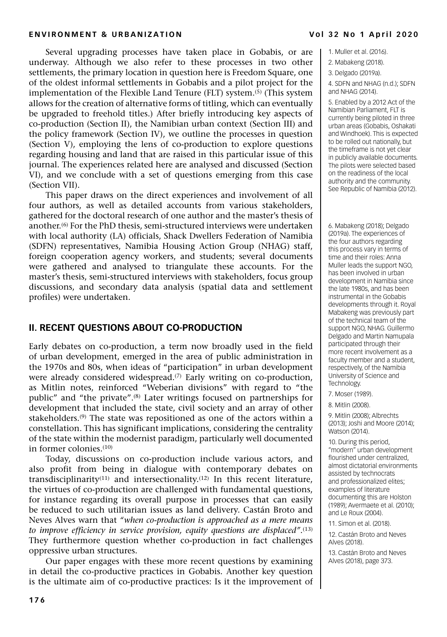Several upgrading processes have taken place in Gobabis, or are underway. Although we also refer to these processes in two other settlements, the primary location in question here is Freedom Square, one of the oldest informal settlements in Gobabis and a pilot project for the implementation of the Flexible Land Tenure (FLT) system.<sup>(5)</sup> (This system allows for the creation of alternative forms of titling, which can eventually be upgraded to freehold titles.) After briefly introducing key aspects of co-production (Section II), the Namibian urban context (Section III) and the policy framework (Section IV), we outline the processes in question (Section V), employing the lens of co-production to explore questions regarding housing and land that are raised in this particular issue of this journal. The experiences related here are analysed and discussed (Section VI), and we conclude with a set of questions emerging from this case (Section VII).

This paper draws on the direct experiences and involvement of all four authors, as well as detailed accounts from various stakeholders, gathered for the doctoral research of one author and the master's thesis of another.(6) For the PhD thesis, semi-structured interviews were undertaken with local authority (LA) officials, Shack Dwellers Federation of Namibia (SDFN) representatives, Namibia Housing Action Group (NHAG) staff, foreign cooperation agency workers, and students; several documents were gathered and analysed to triangulate these accounts. For the master's thesis, semi-structured interviews with stakeholders, focus group discussions, and secondary data analysis (spatial data and settlement profiles) were undertaken.

# **II. Recent Questions about Co-Production**

Early debates on co-production, a term now broadly used in the field of urban development, emerged in the area of public administration in the 1970s and 80s, when ideas of "participation" in urban development were already considered widespread.<sup>(7)</sup> Early writing on co-production, as Mitlin notes, reinforced "Weberian divisions" with regard to "the public" and "the private".(8) Later writings focused on partnerships for development that included the state, civil society and an array of other stakeholders.(9) The state was repositioned as one of the actors within a constellation. This has significant implications, considering the centrality of the state within the modernist paradigm, particularly well documented in former colonies.(10)

Today, discussions on co-production include various actors, and also profit from being in dialogue with contemporary debates on transdisciplinarity(11) and intersectionality.(12) In this recent literature, the virtues of co-production are challenged with fundamental questions, for instance regarding its overall purpose in processes that can easily be reduced to such utilitarian issues as land delivery. Castán Broto and Neves Alves warn that *"when co-production is approached as a mere means to improve efficiency in service provision, equity questions are displaced"*.(13) They furthermore question whether co-production in fact challenges oppressive urban structures.

Our paper engages with these more recent questions by examining in detail the co-productive practices in Gobabis. Another key question is the ultimate aim of co-productive practices: Is it the improvement of

1. Muller et al. (2016).

- 2. Mabakeng (2018).
- 3. Delgado (2019a).

4. SDFN and NHAG (n.d.); SDFN and NHAG (2014).

5. Enabled by a 2012 Act of the Namibian Parliament, FLT is currently being piloted in three urban areas (Gobabis, Oshakati and Windhoek). This is expected to be rolled out nationally, but the timeframe is not yet clear in publicly available documents. The pilots were selected based on the readiness of the local authority and the community. See Republic of Namibia (2012).

6. Mabakeng (2018); Delgado (2019a). The experiences of the four authors regarding this process vary in terms of time and their roles: Anna Muller leads the support NGO, has been involved in urban development in Namibia since the late 1980s, and has been instrumental in the Gobabis developments through it. Royal Mabakeng was previously part of the technical team of the support NGO, NHAG. Guillermo Delgado and Martin Namupala participated through their more recent involvement as a faculty member and a student, respectively, of the Namibia University of Science and Technology.

7. Moser (1989).

8. Mitlin (2008).

9. Mitlin (2008); Albrechts (2013); Joshi and Moore (2014); Watson (2014).

10. During this period, "modern" urban development flourished under centralized, almost dictatorial environments assisted by technocrats and professionalized elites; examples of literature documenting this are Holston (1989); Avermaete et al. (2010); and Le Roux (2004).

11. Simon et al. (2018).

12. Castán Broto and Neves Alves (2018).

13. Castán Broto and Neves Alves (2018), page 373.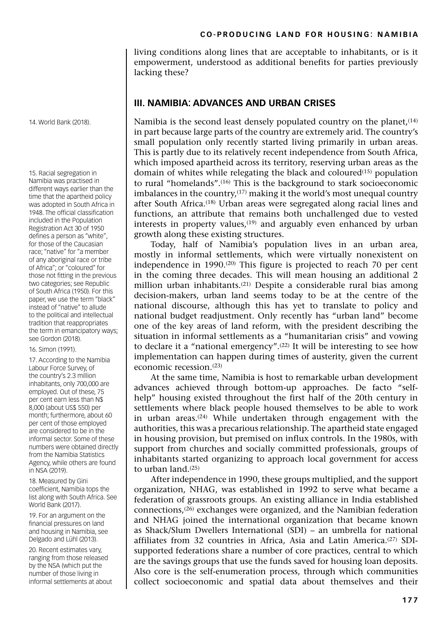#### **C O - P RODU CING LAN D F OR H OUS ING: NAMI B I A**

living conditions along lines that are acceptable to inhabitants, or is it empowerment, understood as additional benefits for parties previously lacking these?

# **III. Namibia: Advances and Urban Crises**

Namibia is the second least densely populated country on the planet,(14) in part because large parts of the country are extremely arid. The country's small population only recently started living primarily in urban areas. This is partly due to its relatively recent independence from South Africa, which imposed apartheid across its territory, reserving urban areas as the domain of whites while relegating the black and coloured<sup> $(15)$ </sup> population to rural "homelands".(16) This is the background to stark socioeconomic imbalances in the country,  $(17)$  making it the world's most unequal country after South Africa.(18) Urban areas were segregated along racial lines and functions, an attribute that remains both unchallenged due to vested interests in property values, $(19)$  and arguably even enhanced by urban growth along these existing structures.

Today, half of Namibia's population lives in an urban area, mostly in informal settlements, which were virtually nonexistent on independence in 1990.<sup>(20)</sup> This figure is projected to reach 70 per cent in the coming three decades. This will mean housing an additional 2 million urban inhabitants.<sup>(21)</sup> Despite a considerable rural bias among decision-makers, urban land seems today to be at the centre of the national discourse, although this has yet to translate to policy and national budget readjustment. Only recently has "urban land" become one of the key areas of land reform, with the president describing the situation in informal settlements as a "humanitarian crisis" and vowing to declare it a "national emergency".(22) It will be interesting to see how implementation can happen during times of austerity, given the current economic recession.<sup>(23)</sup>

At the same time, Namibia is host to remarkable urban development advances achieved through bottom-up approaches. De facto "selfhelp" housing existed throughout the first half of the 20th century in settlements where black people housed themselves to be able to work in urban areas.(24) While undertaken through engagement with the authorities, this was a precarious relationship. The apartheid state engaged in housing provision, but premised on influx controls. In the 1980s, with support from churches and socially committed professionals, groups of inhabitants started organizing to approach local government for access to urban land.(25)

After independence in 1990, these groups multiplied, and the support organization, NHAG, was established in 1992 to serve what became a federation of grassroots groups. An existing alliance in India established connections,(26) exchanges were organized, and the Namibian federation and NHAG joined the international organization that became known as Shack/Slum Dwellers International (SDI) – an umbrella for national affiliates from 32 countries in Africa, Asia and Latin America.(27) SDIsupported federations share a number of core practices, central to which are the savings groups that use the funds saved for housing loan deposits. Also core is the self-enumeration process, through which communities collect socioeconomic and spatial data about themselves and their

14. World Bank (2018).

15. Racial segregation in Namibia was practised in different ways earlier than the time that the apartheid policy was adopted in South Africa in 1948. The official classification included in the Population Registration Act 30 of 1950 defines a person as "white", for those of the Caucasian race; "native" for "a member of any aboriginal race or tribe of Africa"; or "coloured" for those not fitting in the previous two categories; see Republic of South Africa (1950). For this paper, we use the term "black" instead of "native" to allude to the political and intellectual tradition that reappropriates the term in emancipatory ways; see Gordon (2018).

#### 16. Simon (1991).

17. According to the Namibia Labour Force Survey, of the country's 2.3 million inhabitants, only 700,000 are employed. Out of these, 75 per cent earn less than N\$ 8,000 (about US\$ 550) per month; furthermore, about 60 per cent of those employed are considered to be in the informal sector. Some of these numbers were obtained directly from the Namibia Statistics Agency, while others are found in NSA (2019).

18. Measured by Gini coefficient, Namibia tops the list along with South Africa. See World Bank (2017).

19. For an argument on the financial pressures on land and housing in Namibia, see Delgado and Lühl (2013).

20. Recent estimates vary, ranging from those released by the NSA (which put the number of those living in informal settlements at about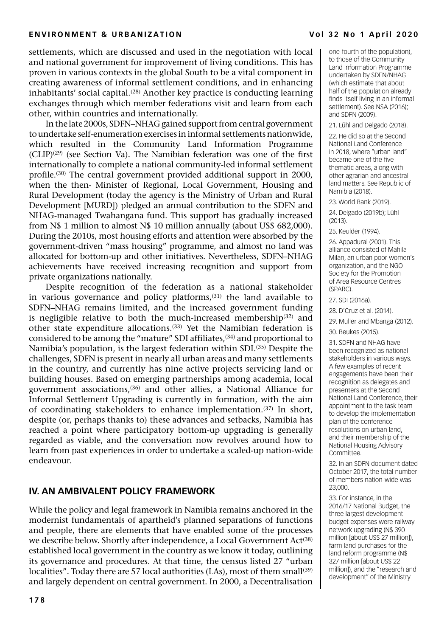settlements, which are discussed and used in the negotiation with local and national government for improvement of living conditions. This has proven in various contexts in the global South to be a vital component in creating awareness of informal settlement conditions, and in enhancing inhabitants' social capital.<sup>(28)</sup> Another key practice is conducting learning exchanges through which member federations visit and learn from each other, within countries and internationally.

In the late 2000s, SDFN–NHAG gained support from central government to undertake self-enumeration exercises in informal settlements nationwide, which resulted in the Community Land Information Programme (CLIP)(29) (see Section Va). The Namibian federation was one of the first internationally to complete a national community-led informal settlement profile.(30) The central government provided additional support in 2000, when the then- Minister of Regional, Local Government, Housing and Rural Development (today the agency is the Ministry of Urban and Rural Development [MURD]) pledged an annual contribution to the SDFN and NHAG-managed Twahangana fund. This support has gradually increased from N\$ 1 million to almost N\$ 10 million annually (about US\$ 682,000). During the 2010s, most housing efforts and attention were absorbed by the government-driven "mass housing" programme, and almost no land was allocated for bottom-up and other initiatives. Nevertheless, SDFN–NHAG achievements have received increasing recognition and support from private organizations nationally.

Despite recognition of the federation as a national stakeholder in various governance and policy platforms, $(31)$  the land available to SDFN–NHAG remains limited, and the increased government funding is negligible relative to both the much-increased membership<sup>(32)</sup> and other state expenditure allocations.(33) Yet the Namibian federation is considered to be among the "mature" SDI affiliates,(34) and proportional to Namibia's population, is the largest federation within SDI.(35) Despite the challenges, SDFN is present in nearly all urban areas and many settlements in the country, and currently has nine active projects servicing land or building houses. Based on emerging partnerships among academia, local government associations,(36) and other allies, a National Alliance for Informal Settlement Upgrading is currently in formation, with the aim of coordinating stakeholders to enhance implementation.(37) In short, despite (or, perhaps thanks to) these advances and setbacks, Namibia has reached a point where participatory bottom-up upgrading is generally regarded as viable, and the conversation now revolves around how to learn from past experiences in order to undertake a scaled-up nation-wide endeavour.

# **IV. An Ambivalent Policy Framework**

While the policy and legal framework in Namibia remains anchored in the modernist fundamentals of apartheid's planned separations of functions and people, there are elements that have enabled some of the processes we describe below. Shortly after independence, a Local Government Act<sup>(38)</sup> established local government in the country as we know it today, outlining its governance and procedures. At that time, the census listed 27 "urban localities". Today there are 57 local authorities (LAs), most of them small<sup>(39)</sup> and largely dependent on central government. In 2000, a Decentralisation

one-fourth of the population), to those of the Community Land Information Programme undertaken by SDFN/NHAG (which estimate that about half of the population already finds itself living in an informal settlement). See NSA (2016): and SDFN (2009).

#### 21. Lühl and Delgado (2018).

22. He did so at the Second National Land Conference in 2018, where "urban land" became one of the five thematic areas, along with other agrarian and ancestral land matters. See Republic of Namibia (2018).

23. World Bank (2019).

24. Delgado (2019b); Lühl (2013).

25. Keulder (1994).

26. Appadurai (2001). This alliance consisted of Mahila Milan, an urban poor women's organization, and the NGO Society for the Promotion of Area Resource Centres (SPARC).

27. SDI (2016a).

28. D'Cruz et al. (2014).

29. Muller and Mbanga (2012).

30. Beukes (2015).

31. SDFN and NHAG have been recognized as national stakeholders in various ways. A few examples of recent engagements have been their recognition as delegates and presenters at the Second National Land Conference, their appointment to the task team to develop the implementation plan of the conference resolutions on urban land, and their membership of the National Housing Advisory Committee.

32. In an SDFN document dated October 2017, the total number of members nation-wide was 23,000.

33. For instance, in the 2016/17 National Budget, the three largest development budget expenses were railway network upgrading (N\$ 390 million [about US\$ 27 million]), farm land purchases for the land reform programme (N\$ 327 million [about US\$ 22 million]), and the "research and development" of the Ministry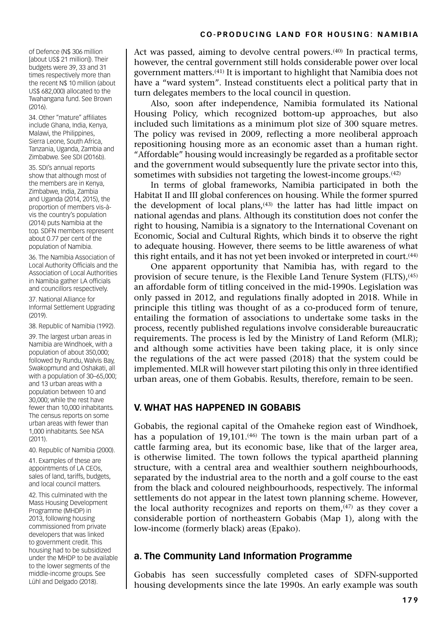of Defence (N\$ 306 million [about US\$ 21 million]). Their budgets were 39, 33 and 31 times respectively more than the recent N\$ 10 million (about US\$ 682,000) allocated to the Twahangana fund. See Brown (2016).

34. Other "mature" affiliates include Ghana, India, Kenya, Malawi, the Philippines, Sierra Leone, South Africa, Tanzania, Uganda, Zambia and Zimbabwe. See SDI (2016b).

35. SDI's annual reports show that although most of the members are in Kenya, Zimbabwe, India, Zambia and Uganda (2014, 2015), the proportion of members vis-àvis the country's population (2014) puts Namibia at the top. SDFN members represent about 0.77 per cent of the population of Namibia.

36. The Namibia Association of Local Authority Officials and the Association of Local Authorities in Namibia gather LA officials and councillors respectively.

37. National Alliance for Informal Settlement Upgrading (2019).

38. Republic of Namibia (1992).

39. The largest urban areas in Namibia are Windhoek, with a population of about 350,000; followed by Rundu, Walvis Bay, Swakopmund and Oshakati, all with a population of 30–65,000; and 13 urban areas with a population between 10 and 30,000; while the rest have fewer than 10,000 inhabitants. The census reports on some urban areas with fewer than 1,000 inhabitants. See NSA  $(2011)$ 

40. Republic of Namibia (2000).

41. Examples of these are appointments of LA CEOs, sales of land, tariffs, budgets, and local council matters.

42. This culminated with the Mass Housing Development Programme (MHDP) in 2013, following housing commissioned from private developers that was linked to government credit. This housing had to be subsidized under the MHDP to be available to the lower segments of the middle-income groups. See Lühl and Delgado (2018).

Act was passed, aiming to devolve central powers.<sup>(40)</sup> In practical terms, however, the central government still holds considerable power over local government matters.(41) It is important to highlight that Namibia does not have a "ward system". Instead constituents elect a political party that in turn delegates members to the local council in question.

Also, soon after independence, Namibia formulated its National Housing Policy, which recognized bottom-up approaches, but also included such limitations as a minimum plot size of 300 square metres. The policy was revised in 2009, reflecting a more neoliberal approach repositioning housing more as an economic asset than a human right. "Affordable" housing would increasingly be regarded as a profitable sector and the government would subsequently lure the private sector into this, sometimes with subsidies not targeting the lowest-income groups.(42)

In terms of global frameworks, Namibia participated in both the Habitat II and III global conferences on housing. While the former spurred the development of local plans,(43) the latter has had little impact on national agendas and plans. Although its constitution does not confer the right to housing, Namibia is a signatory to the International Covenant on Economic, Social and Cultural Rights, which binds it to observe the right to adequate housing. However, there seems to be little awareness of what this right entails, and it has not yet been invoked or interpreted in court.<sup>(44)</sup>

One apparent opportunity that Namibia has, with regard to the provision of secure tenure, is the Flexible Land Tenure System (FLTS),<sup>(45)</sup> an affordable form of titling conceived in the mid-1990s. Legislation was only passed in 2012, and regulations finally adopted in 2018. While in principle this titling was thought of as a co-produced form of tenure, entailing the formation of associations to undertake some tasks in the process, recently published regulations involve considerable bureaucratic requirements. The process is led by the Ministry of Land Reform (MLR); and although some activities have been taking place, it is only since the regulations of the act were passed (2018) that the system could be implemented. MLR will however start piloting this only in three identified urban areas, one of them Gobabis. Results, therefore, remain to be seen.

# **V. What Has Happened in Gobabis**

Gobabis, the regional capital of the Omaheke region east of Windhoek, has a population of  $19.101$ .<sup>(46)</sup> The town is the main urban part of a cattle farming area, but its economic base, like that of the larger area, is otherwise limited. The town follows the typical apartheid planning structure, with a central area and wealthier southern neighbourhoods, separated by the industrial area to the north and a golf course to the east from the black and coloured neighbourhoods, respectively. The informal settlements do not appear in the latest town planning scheme. However, the local authority recognizes and reports on them, $(47)$  as they cover a considerable portion of northeastern Gobabis (Map 1), along with the low-income (formerly black) areas (Epako).

# **a. The Community Land Information Programme**

Gobabis has seen successfully completed cases of SDFN-supported housing developments since the late 1990s. An early example was south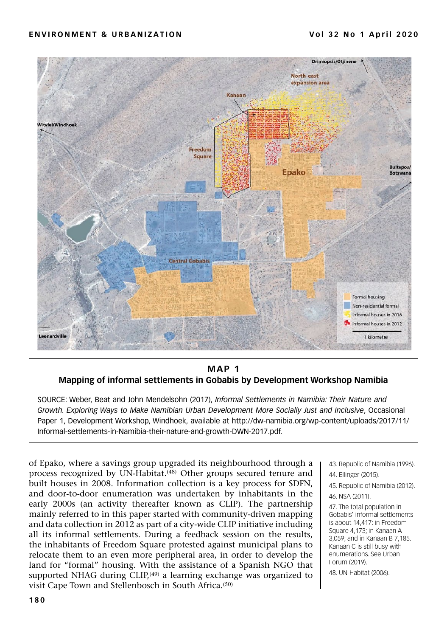

# **Map 1**

# **Mapping of informal settlements in Gobabis by Development Workshop Namibia**

SOURCE: Weber, Beat and John Mendelsohn (2017), *Informal Settlements in Namibia: Their Nature and Growth. Exploring Ways to Make Namibian Urban Development More Socially Just and Inclusive*, Occasional Paper 1, Development Workshop, Windhoek, available at [http://dw-namibia.org/wp-content/uploads/2017/11/](http://dw-namibia.org/wp-content/uploads/2017/11/Informal-settlements-in-Namibia-their-nature-and-growth-DWN-2017.pdf) [Informal-settlements-in-Namibia-their-nature-and-growth-DWN-2017.pdf](http://dw-namibia.org/wp-content/uploads/2017/11/Informal-settlements-in-Namibia-their-nature-and-growth-DWN-2017.pdf).

of Epako, where a savings group upgraded its neighbourhood through a process recognized by UN-Habitat.(48) Other groups secured tenure and built houses in 2008. Information collection is a key process for SDFN, and door-to-door enumeration was undertaken by inhabitants in the early 2000s (an activity thereafter known as CLIP). The partnership mainly referred to in this paper started with community-driven mapping and data collection in 2012 as part of a city-wide CLIP initiative including all its informal settlements. During a feedback session on the results, the inhabitants of Freedom Square protested against municipal plans to relocate them to an even more peripheral area, in order to develop the land for "formal" housing. With the assistance of a Spanish NGO that supported NHAG during CLIP, $(49)$  a learning exchange was organized to visit Cape Town and Stellenbosch in South Africa.<sup>(50)</sup>

- 43. Republic of Namibia (1996).
- 44. Ellinger (2015).
- 45. Republic of Namibia (2012). 46. NSA (2011).

47. The total population in Gobabis' informal settlements is about 14,417: in Freedom Square 4,173; in Kanaan A 3,059; and in Kanaan B 7,185. Kanaan C is still busy with enumerations. See Urban Forum (2019).

48. UN-Habitat (2006).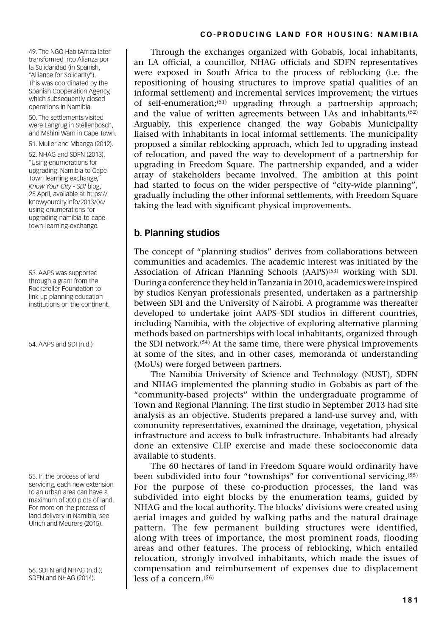49. The NGO HabitAfrica later transformed into Alianza por la Solidaridad (in Spanish, "Alliance for Solidarity"). This was coordinated by the Spanish Cooperation Agency, which subsequently closed operations in Namibia.

50. The settlements visited were Langrug in Stellenbosch, and Mshini Wam in Cape Town.

51. Muller and Mbanga (2012).

52. NHAG and SDFN (2013), "Using enumerations for upgrading: Namibia to Cape Town learning exchange," *Know Your City - SDI* blog, 25 April, available at [https://](https://knowyourcity.info/2013/04/using-enumerations-for-upgrading-namibia-to-cape-town-learning-exchange) [knowyourcity.info/2013/04/](https://knowyourcity.info/2013/04/using-enumerations-for-upgrading-namibia-to-cape-town-learning-exchange) [using-enumerations-for](https://knowyourcity.info/2013/04/using-enumerations-for-upgrading-namibia-to-cape-town-learning-exchange)[upgrading-namibia-to-cape](https://knowyourcity.info/2013/04/using-enumerations-for-upgrading-namibia-to-cape-town-learning-exchange)[town-learning-exchange.](https://knowyourcity.info/2013/04/using-enumerations-for-upgrading-namibia-to-cape-town-learning-exchange)

53. AAPS was supported through a grant from the Rockefeller Foundation to link up planning education institutions on the continent.

54. AAPS and SDI (n.d.)

55. In the process of land servicing, each new extension to an urban area can have a maximum of 300 plots of land. For more on the process of land delivery in Namibia, see Ulrich and Meurers (2015).

56. SDFN and NHAG (n.d.); SDFN and NHAG (2014).

Through the exchanges organized with Gobabis, local inhabitants, an LA official, a councillor, NHAG officials and SDFN representatives were exposed in South Africa to the process of reblocking (i.e. the repositioning of housing structures to improve spatial qualities of an informal settlement) and incremental services improvement; the virtues of self-enumeration;(51) upgrading through a partnership approach; and the value of written agreements between LAs and inhabitants.(52) Arguably, this experience changed the way Gobabis Municipality liaised with inhabitants in local informal settlements. The municipality proposed a similar reblocking approach, which led to upgrading instead of relocation, and paved the way to development of a partnership for upgrading in Freedom Square. The partnership expanded, and a wider array of stakeholders became involved. The ambition at this point had started to focus on the wider perspective of "city-wide planning", gradually including the other informal settlements, with Freedom Square taking the lead with significant physical improvements.

# **b. Planning studios**

The concept of "planning studios" derives from collaborations between communities and academics. The academic interest was initiated by the Association of African Planning Schools (AAPS)<sup>(53)</sup> working with SDI. During a conference they held in Tanzania in 2010, academics were inspired by studios Kenyan professionals presented, undertaken as a partnership between SDI and the University of Nairobi. A programme was thereafter developed to undertake joint AAPS–SDI studios in different countries, including Namibia, with the objective of exploring alternative planning methods based on partnerships with local inhabitants, organized through the SDI network.(54) At the same time, there were physical improvements at some of the sites, and in other cases, memoranda of understanding (MoUs) were forged between partners.

The Namibia University of Science and Technology (NUST), SDFN and NHAG implemented the planning studio in Gobabis as part of the "community-based projects" within the undergraduate programme of Town and Regional Planning. The first studio in September 2013 had site analysis as an objective. Students prepared a land-use survey and, with community representatives, examined the drainage, vegetation, physical infrastructure and access to bulk infrastructure. Inhabitants had already done an extensive CLIP exercise and made these socioeconomic data available to students.

The 60 hectares of land in Freedom Square would ordinarily have been subdivided into four "townships" for conventional servicing.(55) For the purpose of these co-production processes, the land was subdivided into eight blocks by the enumeration teams, guided by NHAG and the local authority. The blocks' divisions were created using aerial images and guided by walking paths and the natural drainage pattern. The few permanent building structures were identified, along with trees of importance, the most prominent roads, flooding areas and other features. The process of reblocking, which entailed relocation, strongly involved inhabitants, which made the issues of compensation and reimbursement of expenses due to displacement less of a concern.(56)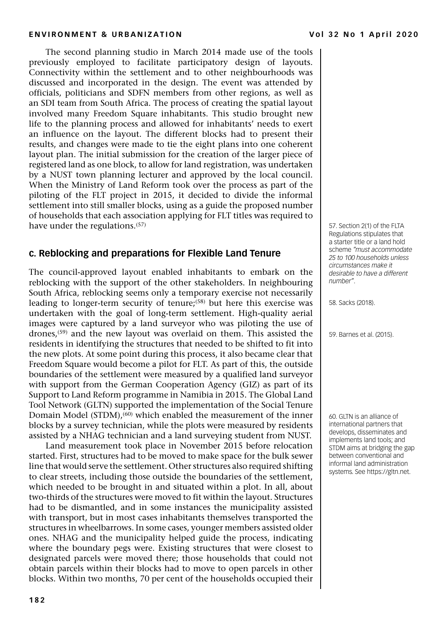The second planning studio in March 2014 made use of the tools previously employed to facilitate participatory design of layouts. Connectivity within the settlement and to other neighbourhoods was discussed and incorporated in the design. The event was attended by officials, politicians and SDFN members from other regions, as well as an SDI team from South Africa. The process of creating the spatial layout involved many Freedom Square inhabitants. This studio brought new life to the planning process and allowed for inhabitants' needs to exert an influence on the layout. The different blocks had to present their results, and changes were made to tie the eight plans into one coherent layout plan. The initial submission for the creation of the larger piece of registered land as one block, to allow for land registration, was undertaken by a NUST town planning lecturer and approved by the local council. When the Ministry of Land Reform took over the process as part of the piloting of the FLT project in 2015, it decided to divide the informal settlement into still smaller blocks, using as a guide the proposed number of households that each association applying for FLT titles was required to have under the regulations.(57)

# **c. Reblocking and preparations for Flexible Land Tenure**

The council-approved layout enabled inhabitants to embark on the reblocking with the support of the other stakeholders. In neighbouring South Africa, reblocking seems only a temporary exercise not necessarily leading to longer-term security of tenure;<sup>(58)</sup> but here this exercise was undertaken with the goal of long-term settlement. High-quality aerial images were captured by a land surveyor who was piloting the use of drones,(59) and the new layout was overlaid on them. This assisted the residents in identifying the structures that needed to be shifted to fit into the new plots. At some point during this process, it also became clear that Freedom Square would become a pilot for FLT. As part of this, the outside boundaries of the settlement were measured by a qualified land surveyor with support from the German Cooperation Agency (GIZ) as part of its Support to Land Reform programme in Namibia in 2015. The Global Land Tool Network (GLTN) supported the implementation of the Social Tenure Domain Model (STDM),<sup>(60)</sup> which enabled the measurement of the inner blocks by a survey technician, while the plots were measured by residents assisted by a NHAG technician and a land surveying student from NUST.

Land measurement took place in November 2015 before relocation started. First, structures had to be moved to make space for the bulk sewer line that would serve the settlement. Other structures also required shifting to clear streets, including those outside the boundaries of the settlement, which needed to be brought in and situated within a plot. In all, about two-thirds of the structures were moved to fit within the layout. Structures had to be dismantled, and in some instances the municipality assisted with transport, but in most cases inhabitants themselves transported the structures in wheelbarrows. In some cases, younger members assisted older ones. NHAG and the municipality helped guide the process, indicating where the boundary pegs were. Existing structures that were closest to designated parcels were moved there; those households that could not obtain parcels within their blocks had to move to open parcels in other blocks. Within two months, 70 per cent of the households occupied their

57. Section 2(1) of the FLTA Regulations stipulates that a starter title or a land hold scheme *"must accommodate 25 to 100 households unless circumstances make it desirable to have a different number"*.

58. Sacks (2018).

59. Barnes et al. (2015).

60. GLTN is an alliance of international partners that develops, disseminates and implements land tools; and STDM aims at bridging the gap between conventional and informal land administration systems. See <https://gltn.net>.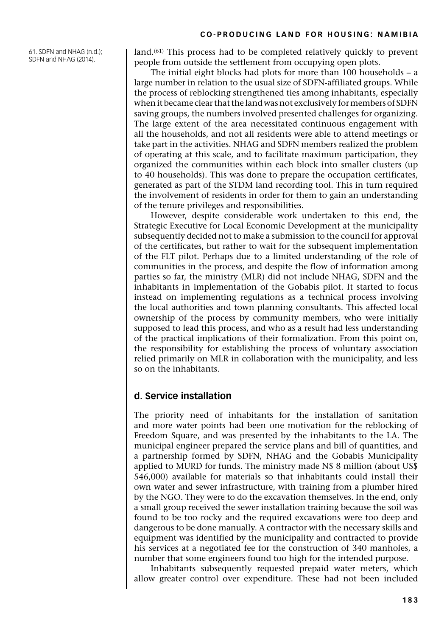61. SDFN and NHAG (n.d.); SDFN and NHAG (2014).

land.(61) This process had to be completed relatively quickly to prevent people from outside the settlement from occupying open plots.

The initial eight blocks had plots for more than 100 households – a large number in relation to the usual size of SDFN-affiliated groups. While the process of reblocking strengthened ties among inhabitants, especially when it became clear that the land was not exclusively for members of SDFN saving groups, the numbers involved presented challenges for organizing. The large extent of the area necessitated continuous engagement with all the households, and not all residents were able to attend meetings or take part in the activities. NHAG and SDFN members realized the problem of operating at this scale, and to facilitate maximum participation, they organized the communities within each block into smaller clusters (up to 40 households). This was done to prepare the occupation certificates, generated as part of the STDM land recording tool. This in turn required the involvement of residents in order for them to gain an understanding of the tenure privileges and responsibilities.

However, despite considerable work undertaken to this end, the Strategic Executive for Local Economic Development at the municipality subsequently decided not to make a submission to the council for approval of the certificates, but rather to wait for the subsequent implementation of the FLT pilot. Perhaps due to a limited understanding of the role of communities in the process, and despite the flow of information among parties so far, the ministry (MLR) did not include NHAG, SDFN and the inhabitants in implementation of the Gobabis pilot. It started to focus instead on implementing regulations as a technical process involving the local authorities and town planning consultants. This affected local ownership of the process by community members, who were initially supposed to lead this process, and who as a result had less understanding of the practical implications of their formalization. From this point on, the responsibility for establishing the process of voluntary association relied primarily on MLR in collaboration with the municipality, and less so on the inhabitants.

# **d. Service installation**

The priority need of inhabitants for the installation of sanitation and more water points had been one motivation for the reblocking of Freedom Square, and was presented by the inhabitants to the LA. The municipal engineer prepared the service plans and bill of quantities, and a partnership formed by SDFN, NHAG and the Gobabis Municipality applied to MURD for funds. The ministry made N\$ 8 million (about US\$ 546,000) available for materials so that inhabitants could install their own water and sewer infrastructure, with training from a plumber hired by the NGO. They were to do the excavation themselves. In the end, only a small group received the sewer installation training because the soil was found to be too rocky and the required excavations were too deep and dangerous to be done manually. A contractor with the necessary skills and equipment was identified by the municipality and contracted to provide his services at a negotiated fee for the construction of 340 manholes, a number that some engineers found too high for the intended purpose.

Inhabitants subsequently requested prepaid water meters, which allow greater control over expenditure. These had not been included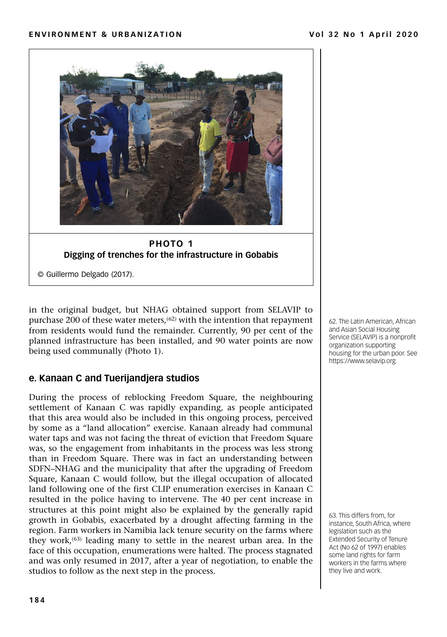

© Guillermo Delgado (2017).

in the original budget, but NHAG obtained support from SELAVIP to purchase 200 of these water meters,<sup>(62)</sup> with the intention that repayment from residents would fund the remainder. Currently, 90 per cent of the planned infrastructure has been installed, and 90 water points are now being used communally (Photo 1).

# **e. Kanaan C and Tuerijandjera studios**

During the process of reblocking Freedom Square, the neighbouring settlement of Kanaan C was rapidly expanding, as people anticipated that this area would also be included in this ongoing process, perceived by some as a "land allocation" exercise. Kanaan already had communal water taps and was not facing the threat of eviction that Freedom Square was, so the engagement from inhabitants in the process was less strong than in Freedom Square. There was in fact an understanding between SDFN–NHAG and the municipality that after the upgrading of Freedom Square, Kanaan C would follow, but the illegal occupation of allocated land following one of the first CLIP enumeration exercises in Kanaan C resulted in the police having to intervene. The 40 per cent increase in structures at this point might also be explained by the generally rapid growth in Gobabis, exacerbated by a drought affecting farming in the region. Farm workers in Namibia lack tenure security on the farms where they work,(63) leading many to settle in the nearest urban area. In the face of this occupation, enumerations were halted. The process stagnated and was only resumed in 2017, after a year of negotiation, to enable the studios to follow as the next step in the process.

62. The Latin American, African and Asian Social Housing Service (SELAVIP) is a nonprofit organization supporting housing for the urban poor. See [https://www.selavip.org.](https://www.selavip.org)

63. This differs from, for instance, South Africa, where legislation such as the Extended Security of Tenure Act (No 62 of 1997) enables some land rights for farm workers in the farms where they live and work.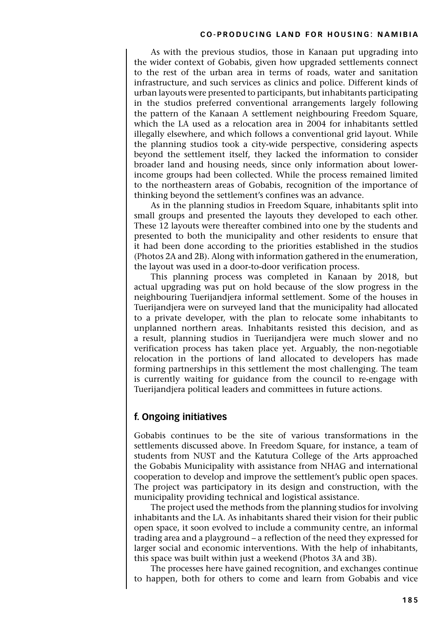As with the previous studios, those in Kanaan put upgrading into the wider context of Gobabis, given how upgraded settlements connect to the rest of the urban area in terms of roads, water and sanitation infrastructure, and such services as clinics and police. Different kinds of urban layouts were presented to participants, but inhabitants participating in the studios preferred conventional arrangements largely following the pattern of the Kanaan A settlement neighbouring Freedom Square, which the LA used as a relocation area in 2004 for inhabitants settled illegally elsewhere, and which follows a conventional grid layout. While the planning studios took a city-wide perspective, considering aspects beyond the settlement itself, they lacked the information to consider broader land and housing needs, since only information about lowerincome groups had been collected. While the process remained limited to the northeastern areas of Gobabis, recognition of the importance of thinking beyond the settlement's confines was an advance.

As in the planning studios in Freedom Square, inhabitants split into small groups and presented the layouts they developed to each other. These 12 layouts were thereafter combined into one by the students and presented to both the municipality and other residents to ensure that it had been done according to the priorities established in the studios (Photos 2A and 2B). Along with information gathered in the enumeration, the layout was used in a door-to-door verification process.

This planning process was completed in Kanaan by 2018, but actual upgrading was put on hold because of the slow progress in the neighbouring Tuerijandjera informal settlement. Some of the houses in Tuerijandjera were on surveyed land that the municipality had allocated to a private developer, with the plan to relocate some inhabitants to unplanned northern areas. Inhabitants resisted this decision, and as a result, planning studios in Tuerijandjera were much slower and no verification process has taken place yet. Arguably, the non-negotiable relocation in the portions of land allocated to developers has made forming partnerships in this settlement the most challenging. The team is currently waiting for guidance from the council to re-engage with Tuerijandjera political leaders and committees in future actions.

# **f. Ongoing initiatives**

Gobabis continues to be the site of various transformations in the settlements discussed above. In Freedom Square, for instance, a team of students from NUST and the Katutura College of the Arts approached the Gobabis Municipality with assistance from NHAG and international cooperation to develop and improve the settlement's public open spaces. The project was participatory in its design and construction, with the municipality providing technical and logistical assistance.

The project used the methods from the planning studios for involving inhabitants and the LA. As inhabitants shared their vision for their public open space, it soon evolved to include a community centre, an informal trading area and a playground – a reflection of the need they expressed for larger social and economic interventions. With the help of inhabitants, this space was built within just a weekend (Photos 3A and 3B).

The processes here have gained recognition, and exchanges continue to happen, both for others to come and learn from Gobabis and vice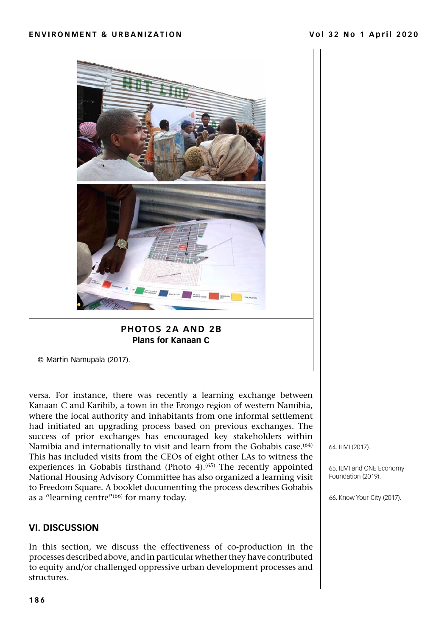

versa. For instance, there was recently a learning exchange between Kanaan C and Karibib, a town in the Erongo region of western Namibia, where the local authority and inhabitants from one informal settlement had initiated an upgrading process based on previous exchanges. The success of prior exchanges has encouraged key stakeholders within Namibia and internationally to visit and learn from the Gobabis case.<sup>(64)</sup> This has included visits from the CEOs of eight other LAs to witness the experiences in Gobabis firsthand (Photo 4).<sup>(65)</sup> The recently appointed National Housing Advisory Committee has also organized a learning visit to Freedom Square. A booklet documenting the process describes Gobabis as a "learning centre"<sup>(66)</sup> for many today.

# **VI. Discussion**

In this section, we discuss the effectiveness of co-production in the processes described above, and in particular whether they have contributed to equity and/or challenged oppressive urban development processes and structures.

64. ILMI (2017).

65. ILMI and ONE Economy Foundation (2019).

66. Know Your City (2017).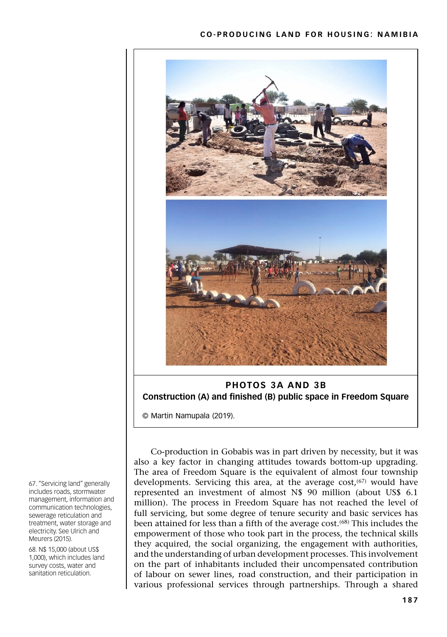#### **C O - P RODU CING LAN D F OR H OUS ING: NAMI B I A**



# **Photos 3A and 3B Construction (A) and finished (B) public space in Freedom Square**

© Martin Namupala (2019).

Co-production in Gobabis was in part driven by necessity, but it was also a key factor in changing attitudes towards bottom-up upgrading. The area of Freedom Square is the equivalent of almost four township developments. Servicing this area, at the average  $cost<sub>1</sub>(67)$  would have represented an investment of almost N\$ 90 million (about US\$ 6.1 million). The process in Freedom Square has not reached the level of full servicing, but some degree of tenure security and basic services has been attained for less than a fifth of the average cost.(68) This includes the empowerment of those who took part in the process, the technical skills they acquired, the social organizing, the engagement with authorities, and the understanding of urban development processes. This involvement on the part of inhabitants included their uncompensated contribution of labour on sewer lines, road construction, and their participation in various professional services through partnerships. Through a shared

67. "Servicing land" generally includes roads, stormwater management, information and communication technologies, sewerage reticulation and treatment, water storage and electricity. See Ulrich and Meurers (2015).

68. N\$ 15,000 (about US\$ 1,000), which includes land survey costs, water and sanitation reticulation.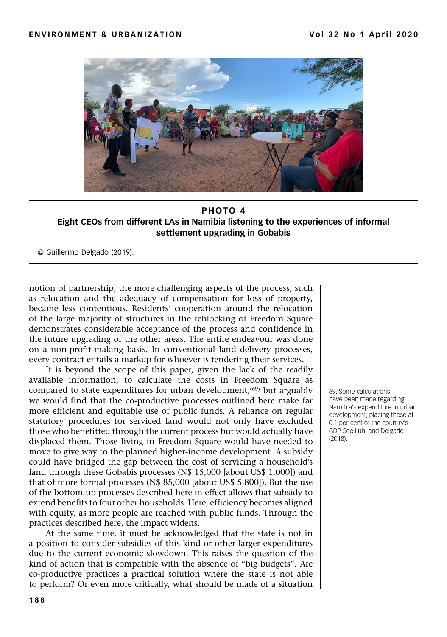

# **Photo 4 Eight CEOs from different LAs in Namibia listening to the experiences of informal settlement upgrading in Gobabis**

© Guillermo Delgado (2019).

notion of partnership, the more challenging aspects of the process, such as relocation and the adequacy of compensation for loss of property, became less contentious. Residents' cooperation around the relocation of the large majority of structures in the reblocking of Freedom Square demonstrates considerable acceptance of the process and confidence in the future upgrading of the other areas. The entire endeavour was done on a non-profit-making basis. In conventional land delivery processes, every contract entails a markup for whoever is tendering their services.

It is beyond the scope of this paper, given the lack of the readily available information, to calculate the costs in Freedom Square as compared to state expenditures for urban development, $(69)$  but arguably we would find that the co-productive processes outlined here make far more efficient and equitable use of public funds. A reliance on regular statutory procedures for serviced land would not only have excluded those who benefitted through the current process but would actually have displaced them. Those living in Freedom Square would have needed to move to give way to the planned higher-income development. A subsidy could have bridged the gap between the cost of servicing a household's land through these Gobabis processes (N\$ 15,000 [about US\$ 1,000]) and that of more formal processes (N\$ 85,000 [about US\$ 5,800]). But the use of the bottom-up processes described here in effect allows that subsidy to extend benefits to four other households. Here, efficiency becomes aligned with equity, as more people are reached with public funds. Through the practices described here, the impact widens.

At the same time, it must be acknowledged that the state is not in a position to consider subsidies of this kind or other larger expenditures due to the current economic slowdown. This raises the question of the kind of action that is compatible with the absence of "big budgets". Are co-productive practices a practical solution where the state is not able to perform? Or even more critically, what should be made of a situation 69. Some calculations have been made regarding Namibia's expenditure in urban development, placing these at 0.1 per cent of the country's GDP. See Lühl and Delgado (2018).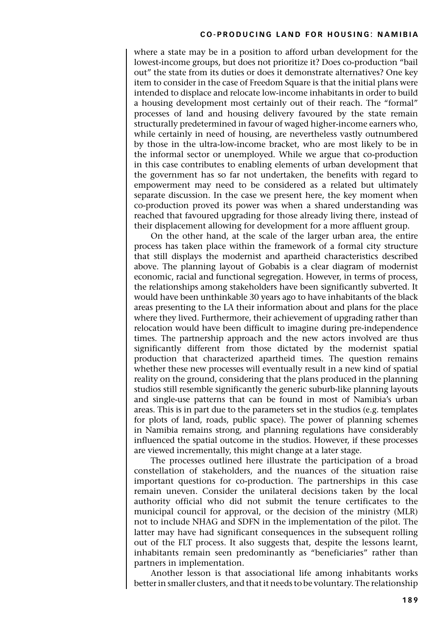where a state may be in a position to afford urban development for the lowest-income groups, but does not prioritize it? Does co-production "bail out" the state from its duties or does it demonstrate alternatives? One key item to consider in the case of Freedom Square is that the initial plans were intended to displace and relocate low-income inhabitants in order to build a housing development most certainly out of their reach. The "formal" processes of land and housing delivery favoured by the state remain structurally predetermined in favour of waged higher-income earners who, while certainly in need of housing, are nevertheless vastly outnumbered by those in the ultra-low-income bracket, who are most likely to be in the informal sector or unemployed. While we argue that co-production in this case contributes to enabling elements of urban development that the government has so far not undertaken, the benefits with regard to empowerment may need to be considered as a related but ultimately separate discussion. In the case we present here, the key moment when co-production proved its power was when a shared understanding was reached that favoured upgrading for those already living there, instead of their displacement allowing for development for a more affluent group.

On the other hand, at the scale of the larger urban area, the entire process has taken place within the framework of a formal city structure that still displays the modernist and apartheid characteristics described above. The planning layout of Gobabis is a clear diagram of modernist economic, racial and functional segregation. However, in terms of process, the relationships among stakeholders have been significantly subverted. It would have been unthinkable 30 years ago to have inhabitants of the black areas presenting to the LA their information about and plans for the place where they lived. Furthermore, their achievement of upgrading rather than relocation would have been difficult to imagine during pre-independence times. The partnership approach and the new actors involved are thus significantly different from those dictated by the modernist spatial production that characterized apartheid times. The question remains whether these new processes will eventually result in a new kind of spatial reality on the ground, considering that the plans produced in the planning studios still resemble significantly the generic suburb-like planning layouts and single-use patterns that can be found in most of Namibia's urban areas. This is in part due to the parameters set in the studios (e.g. templates for plots of land, roads, public space). The power of planning schemes in Namibia remains strong, and planning regulations have considerably influenced the spatial outcome in the studios. However, if these processes are viewed incrementally, this might change at a later stage.

The processes outlined here illustrate the participation of a broad constellation of stakeholders, and the nuances of the situation raise important questions for co-production. The partnerships in this case remain uneven. Consider the unilateral decisions taken by the local authority official who did not submit the tenure certificates to the municipal council for approval, or the decision of the ministry (MLR) not to include NHAG and SDFN in the implementation of the pilot. The latter may have had significant consequences in the subsequent rolling out of the FLT process. It also suggests that, despite the lessons learnt, inhabitants remain seen predominantly as "beneficiaries" rather than partners in implementation.

Another lesson is that associational life among inhabitants works better in smaller clusters, and that it needs to be voluntary. The relationship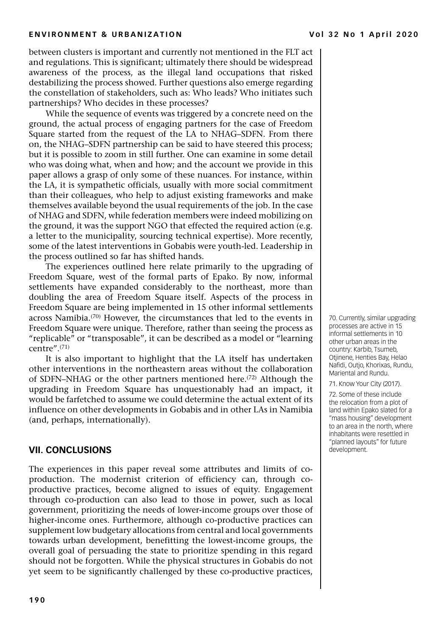between clusters is important and currently not mentioned in the FLT act and regulations. This is significant; ultimately there should be widespread awareness of the process, as the illegal land occupations that risked destabilizing the process showed. Further questions also emerge regarding the constellation of stakeholders, such as: Who leads? Who initiates such partnerships? Who decides in these processes?

While the sequence of events was triggered by a concrete need on the ground, the actual process of engaging partners for the case of Freedom Square started from the request of the LA to NHAG–SDFN. From there on, the NHAG–SDFN partnership can be said to have steered this process; but it is possible to zoom in still further. One can examine in some detail who was doing what, when and how; and the account we provide in this paper allows a grasp of only some of these nuances. For instance, within the LA, it is sympathetic officials, usually with more social commitment than their colleagues, who help to adjust existing frameworks and make themselves available beyond the usual requirements of the job. In the case of NHAG and SDFN, while federation members were indeed mobilizing on the ground, it was the support NGO that effected the required action (e.g. a letter to the municipality, sourcing technical expertise). More recently, some of the latest interventions in Gobabis were youth-led. Leadership in the process outlined so far has shifted hands.

The experiences outlined here relate primarily to the upgrading of Freedom Square, west of the formal parts of Epako. By now, informal settlements have expanded considerably to the northeast, more than doubling the area of Freedom Square itself. Aspects of the process in Freedom Square are being implemented in 15 other informal settlements across Namibia.(70) However, the circumstances that led to the events in Freedom Square were unique. Therefore, rather than seeing the process as "replicable" or "transposable", it can be described as a model or "learning centre".(71)

It is also important to highlight that the LA itself has undertaken other interventions in the northeastern areas without the collaboration of SDFN–NHAG or the other partners mentioned here.(72) Although the upgrading in Freedom Square has unquestionably had an impact, it would be farfetched to assume we could determine the actual extent of its influence on other developments in Gobabis and in other LAs in Namibia (and, perhaps, internationally).

# **VII. Conclusions**

The experiences in this paper reveal some attributes and limits of coproduction. The modernist criterion of efficiency can, through coproductive practices, become aligned to issues of equity. Engagement through co-production can also lead to those in power, such as local government, prioritizing the needs of lower-income groups over those of higher-income ones. Furthermore, although co-productive practices can supplement low budgetary allocations from central and local governments towards urban development, benefitting the lowest-income groups, the overall goal of persuading the state to prioritize spending in this regard should not be forgotten. While the physical structures in Gobabis do not yet seem to be significantly challenged by these co-productive practices,

70. Currently, similar upgrading processes are active in 15 informal settlements in 10 other urban areas in the country: Karbib, Tsumeb, Otjinene, Henties Bay, Helao Nafidi, Outjo, Khorixas, Rundu, Mariental and Rundu.

71. Know Your City (2017).

72. Some of these include the relocation from a plot of land within Epako slated for a "mass housing" development to an area in the north, where inhabitants were resettled in "planned layouts" for future development.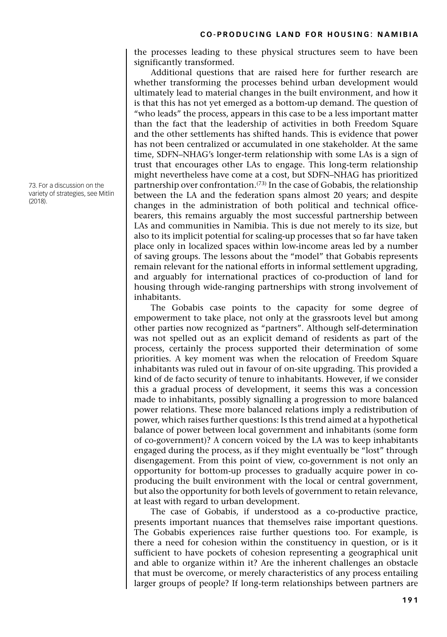the processes leading to these physical structures seem to have been significantly transformed.

Additional questions that are raised here for further research are whether transforming the processes behind urban development would ultimately lead to material changes in the built environment, and how it is that this has not yet emerged as a bottom-up demand. The question of "who leads" the process, appears in this case to be a less important matter than the fact that the leadership of activities in both Freedom Square and the other settlements has shifted hands. This is evidence that power has not been centralized or accumulated in one stakeholder. At the same time, SDFN–NHAG's longer-term relationship with some LAs is a sign of trust that encourages other LAs to engage. This long-term relationship might nevertheless have come at a cost, but SDFN–NHAG has prioritized partnership over confrontation.<sup> $(73)$ </sup> In the case of Gobabis, the relationship between the LA and the federation spans almost 20 years; and despite changes in the administration of both political and technical officebearers, this remains arguably the most successful partnership between LAs and communities in Namibia. This is due not merely to its size, but also to its implicit potential for scaling-up processes that so far have taken place only in localized spaces within low-income areas led by a number of saving groups. The lessons about the "model" that Gobabis represents remain relevant for the national efforts in informal settlement upgrading, and arguably for international practices of co-production of land for housing through wide-ranging partnerships with strong involvement of inhabitants.

The Gobabis case points to the capacity for some degree of empowerment to take place, not only at the grassroots level but among other parties now recognized as "partners". Although self-determination was not spelled out as an explicit demand of residents as part of the process, certainly the process supported their determination of some priorities. A key moment was when the relocation of Freedom Square inhabitants was ruled out in favour of on-site upgrading. This provided a kind of de facto security of tenure to inhabitants. However, if we consider this a gradual process of development, it seems this was a concession made to inhabitants, possibly signalling a progression to more balanced power relations. These more balanced relations imply a redistribution of power, which raises further questions: Is this trend aimed at a hypothetical balance of power between local government and inhabitants (some form of co-government)? A concern voiced by the LA was to keep inhabitants engaged during the process, as if they might eventually be "lost" through disengagement. From this point of view, co-government is not only an opportunity for bottom-up processes to gradually acquire power in coproducing the built environment with the local or central government, but also the opportunity for both levels of government to retain relevance, at least with regard to urban development.

The case of Gobabis, if understood as a co-productive practice, presents important nuances that themselves raise important questions. The Gobabis experiences raise further questions too. For example, is there a need for cohesion within the constituency in question, or is it sufficient to have pockets of cohesion representing a geographical unit and able to organize within it? Are the inherent challenges an obstacle that must be overcome, or merely characteristics of any process entailing larger groups of people? If long-term relationships between partners are

73. For a discussion on the variety of strategies, see Mitlin  $(2018)$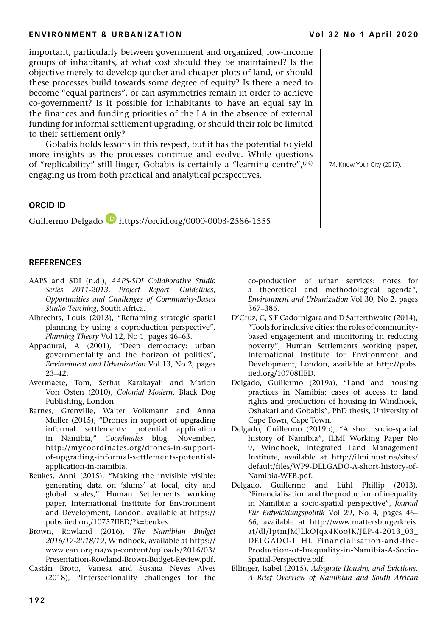important, particularly between government and organized, low-income groups of inhabitants, at what cost should they be maintained? Is the objective merely to develop quicker and cheaper plots of land, or should these processes build towards some degree of equity? Is there a need to become "equal partners", or can asymmetries remain in order to achieve co-government? Is it possible for inhabitants to have an equal say in the finances and funding priorities of the LA in the absence of external funding for informal settlement upgrading, or should their role be limited to their settlement only?

Gobabis holds lessons in this respect, but it has the potential to yield more insights as the processes continue and evolve. While questions of "replicability" still linger, Gobabis is certainly a "learning centre",(74) engaging us from both practical and analytical perspectives.

**ORCID iD**

Guillermo Delgado **<https://orcid.org/0000-0003-2586-1555>** 

#### **References**

- AAPS and SDI (n.d.), *AAPS-SDI Collaborative Studio Series 2011-2013. Project Report. Guidelines, Opportunities and Challenges of Community-Based Studio Teaching*, South Africa.
- Albrechts, Louis (2013), "Reframing strategic spatial planning by using a coproduction perspective", *Planning Theory* Vol 12, No 1, pages 46–63.
- Appadurai, A (2001), "Deep democracy: urban governmentality and the horizon of politics", *Environment and Urbanization* Vol 13, No 2, pages 23–42.
- Avermaete, Tom, Serhat Karakayali and Marion Von Osten (2010), *Colonial Modern*, Black Dog Publishing, London.
- Barnes, Grenville, Walter Volkmann and Anna Muller (2015), "Drones in support of upgrading informal settlements: potential application in Namibia," *Coordinates* blog, November, [http://mycoordinates.org/drones-in-support](http://mycoordinates.org/drones-in-support-of-upgrading-informal-settlements-potential-application-in-namibia)[of-upgrading-informal-settlements-potential](http://mycoordinates.org/drones-in-support-of-upgrading-informal-settlements-potential-application-in-namibia)[application-in-namibia](http://mycoordinates.org/drones-in-support-of-upgrading-informal-settlements-potential-application-in-namibia).
- Beukes, Anni (2015), "Making the invisible visible: generating data on 'slums' at local, city and global scales," Human Settlements working paper, International Institute for Environment and Development, London, available at [https://](https://pubs.iied.org/10757IIED/?k=beukes) [pubs.iied.org/10757IIED/?k=beukes.](https://pubs.iied.org/10757IIED/?k=beukes)
- Brown, Rowland (2016), *The Namibian Budget 2016/17-2018/19*, Windhoek, available at [https://](https://www.ean.org.na/wp-content/uploads/2016/03/Presentation-Rowland-Brown-Budget-Review.pdf) [www.ean.org.na/wp-content/uploads/2016/03/](https://www.ean.org.na/wp-content/uploads/2016/03/Presentation-Rowland-Brown-Budget-Review.pdf) [Presentation-Rowland-Brown-Budget-Review.pdf.](https://www.ean.org.na/wp-content/uploads/2016/03/Presentation-Rowland-Brown-Budget-Review.pdf)
- Castán Broto, Vanesa and Susana Neves Alves (2018), "Intersectionality challenges for the

co-production of urban services: notes for a theoretical and methodological agenda", *Environment and Urbanization* Vol 30, No 2, pages 367–386.

- D'Cruz, C, S F Cadornigara and D Satterthwaite (2014), "Tools for inclusive cities: the roles of communitybased engagement and monitoring in reducing poverty", Human Settlements working paper, International Institute for Environment and Development, London, available at [http://pubs.](http://pubs.iied.org/10708IIED) [iied.org/10708IIED](http://pubs.iied.org/10708IIED).
- Delgado, Guillermo (2019a), "Land and housing practices in Namibia: cases of access to land rights and production of housing in Windhoek, Oshakati and Gobabis", PhD thesis, University of Cape Town, Cape Town.
- Delgado, Guillermo (2019b), "A short socio-spatial history of Namibia", ILMI Working Paper No 9, Windhoek, Integrated Land Management Institute, available at [http://ilmi.nust.na/sites/](http://ilmi.nust.na/sites/default/files/WP9-DELGADO-A-short-history-of-Namibia-WEB.pdf) [default/files/WP9-DELGADO-A-short-history-of-](http://ilmi.nust.na/sites/default/files/WP9-DELGADO-A-short-history-of-Namibia-WEB.pdf)[Namibia-WEB.pdf](http://ilmi.nust.na/sites/default/files/WP9-DELGADO-A-short-history-of-Namibia-WEB.pdf).
- Delgado, Guillermo and Lühl Phillip (2013), "Financialisation and the production of inequality in Namibia: a socio-spatial perspective", *Journal Für Entwicklungspolitik* Vol 29, No 4, pages 46– 66, available at [http://www.mattersburgerkreis.](http://www.mattersburgerkreis.at/dl/lptmJMJLkOJqx4KooJK/JEP-4-2013_03_DELGADO-L_HL_Financialisation-and-the-Production-of-Inequality-in-Namibia-A-Socio-Spatial-Perspective.pdf) [at/dl/lptmJMJLkOJqx4KooJK/JEP-4-2013\\_03\\_](http://www.mattersburgerkreis.at/dl/lptmJMJLkOJqx4KooJK/JEP-4-2013_03_DELGADO-L_HL_Financialisation-and-the-Production-of-Inequality-in-Namibia-A-Socio-Spatial-Perspective.pdf) [DELGADO-L\\_HL\\_Financialisation-and-the-](http://www.mattersburgerkreis.at/dl/lptmJMJLkOJqx4KooJK/JEP-4-2013_03_DELGADO-L_HL_Financialisation-and-the-Production-of-Inequality-in-Namibia-A-Socio-Spatial-Perspective.pdf)[Production-of-Inequality-in-Namibia-A-Socio-](http://www.mattersburgerkreis.at/dl/lptmJMJLkOJqx4KooJK/JEP-4-2013_03_DELGADO-L_HL_Financialisation-and-the-Production-of-Inequality-in-Namibia-A-Socio-Spatial-Perspective.pdf)[Spatial-Perspective.pdf](http://www.mattersburgerkreis.at/dl/lptmJMJLkOJqx4KooJK/JEP-4-2013_03_DELGADO-L_HL_Financialisation-and-the-Production-of-Inequality-in-Namibia-A-Socio-Spatial-Perspective.pdf).
- Ellinger, Isabel (2015), *Adequate Housing and Evictions. A Brief Overview of Namibian and South African*

74. Know Your City (2017).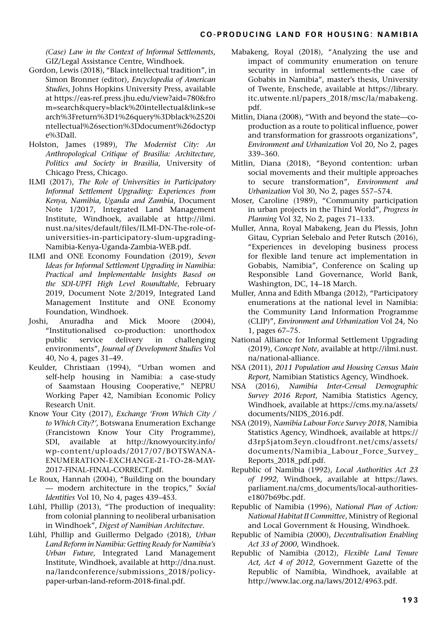*(Case) Law in the Context of Informal Settlements*, GIZ/Legal Assistance Centre, Windhoek.

- Gordon, Lewis (2018), "Black intellectual tradition", in Simon Bronner (editor), *Encyclopedia of American Studies*, Johns Hopkins University Press, available at [https://eas-ref.press.jhu.edu/view?aid=780&fro](https://eas-ref.press.jhu.edu/view?aid=780&from=search&query=black%20intellectual&link=search%3Freturn%3D1%26query%3Dblack%2520intellectual%26section%3Ddocument%26doctype%3Dall) [m=search&query=black%20intellectual&link=se](https://eas-ref.press.jhu.edu/view?aid=780&from=search&query=black%20intellectual&link=search%3Freturn%3D1%26query%3Dblack%2520intellectual%26section%3Ddocument%26doctype%3Dall) [arch%3Freturn%3D1%26query%3Dblack%2520i](https://eas-ref.press.jhu.edu/view?aid=780&from=search&query=black%20intellectual&link=search%3Freturn%3D1%26query%3Dblack%2520intellectual%26section%3Ddocument%26doctype%3Dall) [ntellectual%26section%3Ddocument%26doctyp](https://eas-ref.press.jhu.edu/view?aid=780&from=search&query=black%20intellectual&link=search%3Freturn%3D1%26query%3Dblack%2520intellectual%26section%3Ddocument%26doctype%3Dall) [e%3Dall](https://eas-ref.press.jhu.edu/view?aid=780&from=search&query=black%20intellectual&link=search%3Freturn%3D1%26query%3Dblack%2520intellectual%26section%3Ddocument%26doctype%3Dall).
- Holston, James (1989), *The Modernist City: An Anthropological Critique of Brasilia: Architecture, Politics and Society in Brasilia*, University of Chicago Press, Chicago.
- ILMI (2017), *The Role of Universities in Participatory Informal Settlement Upgrading: Experiences from Kenya, Namibia, Uganda and Zambia*, Document Note 1/2017, Integrated Land Management Institute, Windhoek, available at [http://ilmi.](http://ilmi.nust.na/sites/default/files/ILMI-DN-The-role-of-universities-in-participatory-slum-upgrading-Namibia-Kenya-Uganda-Zambia-WEB.pdf) [nust.na/sites/default/files/ILMI-DN-The-role-of](http://ilmi.nust.na/sites/default/files/ILMI-DN-The-role-of-universities-in-participatory-slum-upgrading-Namibia-Kenya-Uganda-Zambia-WEB.pdf)[universities-in-participatory-slum-upgrading-](http://ilmi.nust.na/sites/default/files/ILMI-DN-The-role-of-universities-in-participatory-slum-upgrading-Namibia-Kenya-Uganda-Zambia-WEB.pdf)[Namibia-Kenya-Uganda-Zambia-WEB.pdf.](http://ilmi.nust.na/sites/default/files/ILMI-DN-The-role-of-universities-in-participatory-slum-upgrading-Namibia-Kenya-Uganda-Zambia-WEB.pdf)
- ILMI and ONE Economy Foundation (2019), *Seven Ideas for Informal Settlement Upgrading in Namibia: Practical and Implementable Insights Based on the SDI-UPFI High Level Roundtable*, February 2019, Document Note 2/2019, Integrated Land Management Institute and ONE Economy Foundation, Windhoek.
- Joshi, Anuradha and Mick Moore (2004), "Institutionalised co-production: unorthodox public service delivery in challenging environments", *Journal of Development Studies* Vol 40, No 4, pages 31–49.
- Keulder, Christiaan (1994), "Urban women and self-help housing in Namibia: a case-study of Saamstaan Housing Cooperative," NEPRU Working Paper 42, Namibian Economic Policy Research Unit.
- Know Your City (2017), *Exchange 'From Which City / to Which City?'*, Botswana Enumeration Exchange (Francistown Know Your City Programme), SDI, available at [http://knowyourcity.info/](http://knowyourcity.info/wp-content/uploads/2017/07/BOTSWANA-ENUMERATION-EXCHANGE-21-TO-28-MAY-2017-FINAL-FINAL-CORRECT.pdf) [wp-content/uploads/2017/07/BOTSWANA-](http://knowyourcity.info/wp-content/uploads/2017/07/BOTSWANA-ENUMERATION-EXCHANGE-21-TO-28-MAY-2017-FINAL-FINAL-CORRECT.pdf)[ENUMERATION-EXCHANGE-21-TO-28-MAY-](http://knowyourcity.info/wp-content/uploads/2017/07/BOTSWANA-ENUMERATION-EXCHANGE-21-TO-28-MAY-2017-FINAL-FINAL-CORRECT.pdf)[2017-FINAL-FINAL-CORRECT.pdf](http://knowyourcity.info/wp-content/uploads/2017/07/BOTSWANA-ENUMERATION-EXCHANGE-21-TO-28-MAY-2017-FINAL-FINAL-CORRECT.pdf).
- Le Roux, Hannah (2004), "Building on the boundary — modern architecture in the tropics," *Social Identities* Vol 10, No 4, pages 439–453.
- Lühl, Phillip (2013), "The production of inequality: from colonial planning to neoliberal urbanisation in Windhoek", *Digest of Namibian Architecture*.
- Lühl, Phillip and Guillermo Delgado (2018), *Urban Land Reform in Namibia: Getting Ready for Namibia's Urban Future*, Integrated Land Management Institute, Windhoek, available at [http://dna.nust.](http://dna.nust.na/landconference/submissions_2018/policy-paper-urban-land-reform-2018-final.pdf) [na/landconference/submissions\\_2018/policy](http://dna.nust.na/landconference/submissions_2018/policy-paper-urban-land-reform-2018-final.pdf)[paper-urban-land-reform-2018-final.pdf](http://dna.nust.na/landconference/submissions_2018/policy-paper-urban-land-reform-2018-final.pdf).
- Mabakeng, Royal (2018), "Analyzing the use and impact of community enumeration on tenure security in informal settlements-the case of Gobabis in Namibia", master's thesis, University of Twente, Enschede, available at [https://library.](https://library.itc.utwente.nl/papers_2018/msc/la/mabakeng.pdf) [itc.utwente.nl/papers\\_2018/msc/la/mabakeng.](https://library.itc.utwente.nl/papers_2018/msc/la/mabakeng.pdf) [pdf.](https://library.itc.utwente.nl/papers_2018/msc/la/mabakeng.pdf)
- Mitlin, Diana (2008), "With and beyond the state—coproduction as a route to political influence, power and transformation for grassroots organizations", *Environment and Urbanization* Vol 20, No 2, pages 339–360.
- Mitlin, Diana (2018), "Beyond contention: urban social movements and their multiple approaches to secure transformation", *Environment and Urbanization* Vol 30, No 2, pages 557–574.
- Moser, Caroline (1989), "Community participation in urban projects in the Third World", *Progress in Planning* Vol 32, No 2, pages 71–133.
- Muller, Anna, Royal Mabakeng, Jean du Plessis, John Gitau, Cyprian Selebalo and Peter Rutsch (2016), "Experiences in developing business process for flexible land tenure act implementation in Gobabis, Namibia", Conference on Scaling up Responsible Land Governance, World Bank, Washington, DC, 14–18 March.
- Muller, Anna and Edith Mbanga (2012), "Participatory enumerations at the national level in Namibia: the Community Land Information Programme (CLIP)", *Environment and Urbanization* Vol 24, No 1, pages 67–75.
- National Alliance for Informal Settlement Upgrading (2019), *Concept Note*, available at [http://ilmi.nust.](http://ilmi.nust.na/national-alliance) [na/national-alliance.](http://ilmi.nust.na/national-alliance)
- NSA (2011), *2011 Population and Housing Census Main Report*, Namibian Statistics Agency, Windhoek.
- NSA (2016), *Namibia Inter-Censal Demographic Survey 2016 Report*, Namibia Statistics Agency, Windhoek, available at [https://cms.my.na/assets/](https://cms.my.na/assets/documents/NIDS_2016.pdf) [documents/NIDS\\_2016.pdf](https://cms.my.na/assets/documents/NIDS_2016.pdf).
- NSA (2019), *Namibia Labour Force Survey 2018*, Namibia Statistics Agency, Windhoek, available at [https://](https://d3rp5jatom3eyn.cloudfront.net/cms/assets/documents/Namibia_Labour_Force_Survey_Reports_2018_pdf.pdf) [d3rp5jatom3eyn.cloudfront.net/cms/assets/](https://d3rp5jatom3eyn.cloudfront.net/cms/assets/documents/Namibia_Labour_Force_Survey_Reports_2018_pdf.pdf) [documents/Namibia\\_Labour\\_Force\\_Survey\\_](https://d3rp5jatom3eyn.cloudfront.net/cms/assets/documents/Namibia_Labour_Force_Survey_Reports_2018_pdf.pdf) [Reports\\_2018\\_pdf.pdf.](https://d3rp5jatom3eyn.cloudfront.net/cms/assets/documents/Namibia_Labour_Force_Survey_Reports_2018_pdf.pdf)
- Republic of Namibia (1992), *Local Authorities Act 23 of 1992*, Windhoek, available at [https://laws.](https://laws.parliament.na/cms_documents/local-authorities-e1807b69bc.pdf) [parliament.na/cms\\_documents/local-authorities](https://laws.parliament.na/cms_documents/local-authorities-e1807b69bc.pdf)[e1807b69bc.pdf.](https://laws.parliament.na/cms_documents/local-authorities-e1807b69bc.pdf)
- Republic of Namibia (1996), *National Plan of Action: National Habitat II Committee*, Ministry of Regional and Local Government & Housing, Windhoek.
- Republic of Namibia (2000), *Decentralisation Enabling Act 33 of 2000*, Windhoek.
- Republic of Namibia (2012), *Flexible Land Tenure Act, Act 4 of 2012*, Government Gazette of the Republic of Namibia, Windhoek, available at <http://www.lac.org.na/laws/2012/4963.pdf>.